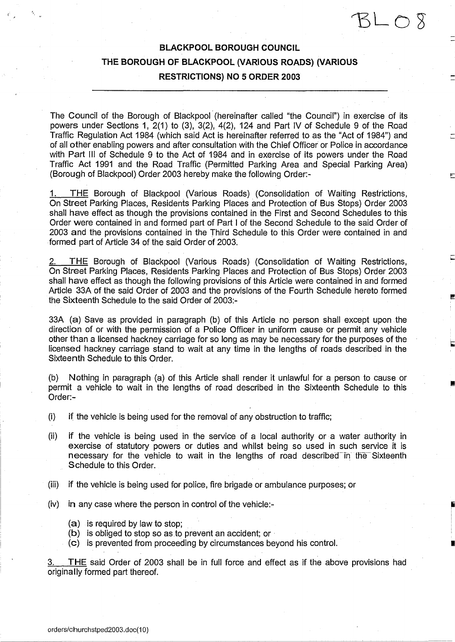# **BLACKPOOL BOROUGH COUNCIL THE BOROUGH OF BLACKPOOL (VARIOUS ROADS) (VARIOUS RESTRICTIONS) NO 5 ORDER 2003**

 $SLO$ 

 $\chi$ 

The Council of the Borough of Blackpool (hereinafter called "the Council") in exercise of its powers under Sections 1, 2(1) to (3), 3(2), 4(2), 124 and Part IV of Schedule 9 of the Road Traffic Regulation Act 1984 (which said Act is hereinafter referred to as the "Act of 1984") and of all other enabling powers and after consultation with the Chief Officer or Police in accordance with Part III of Schedule 9 to the Act of 1984 and in exercise of its powers under the Road Traffic Act 1991 and the Road Traffic (Permitted Parking Area and Special Parking Area) (Borough of Blackpool) Order 2003 hereby make the following Order: -

THE Borough of Blackpool (Various Roads) (Consolidation of Waiting Restrictions, On Street Parking Places, Residents Parking Places and Protection of Bus Stops) Order 2003 shall have effect as though the provisions contained in the First and Second Schedules to this Order were contained in and formed part of Part I of the Second Schedule to the said Order of 2003 and the provisions contained in the Third Schedule to this Order were contained in and formed part of Article 34 of the said Order of 2003.

2. THE Borough of Blackpool (Various Roads) (Consolidation of Waiting Restrictions, On Street Parking Places, Residents Parking Places and Protection of Bus Stops) Order 2003 shall have effect as though the following provisions of this Article were contained in and formed Article 33A of the said Order of 2003 and the provisions of the Fourth Schedule hereto formed the Sixteenth Schedule to the said Order of 2003:-

33A (a) Save as provided in paragraph (b) of this Article no person shall except upon the direction of or with the permission of a Police Officer in uniform cause or permit any vehicle other than a licensed hackney carriage for so long as may be necessary for the purposes of the licensed hackney carriage stand to wait at any time in the lengths of roads described in the Sixteenth Schedule to this Order.

(b) Nothing in paragraph (a) of this Article shall render it unlawful for a person to cause or permit a vehicle to wait in the lengths of road described in the Sixteenth Schedule to this Order:-

- (i) if the vehicle is being used for the removal of any obstruction to traffic;
- (ii) if the vehicle is being used in the service of a local authority or a water authority in exercise of statutory powers or duties and whilst being so used in such service it is necessary for the vehicle to wait in the lengths of road described~in the Sixteenth Schedule to this Order.
- (iii) if the vehicle is being used for police, fire brigade or ambulance purposes; or
- (iv) in any case where the person in control of the vehicle:-
	- (a) is required by law to stop;
	- (b) is obliged to stop so as to prevent an accident; or
	- (c) is prevented from proceeding by circumstances beyond his control.

THE said Order of 2003 shall be in full force and effect as if the above provisions had originally formed part thereof.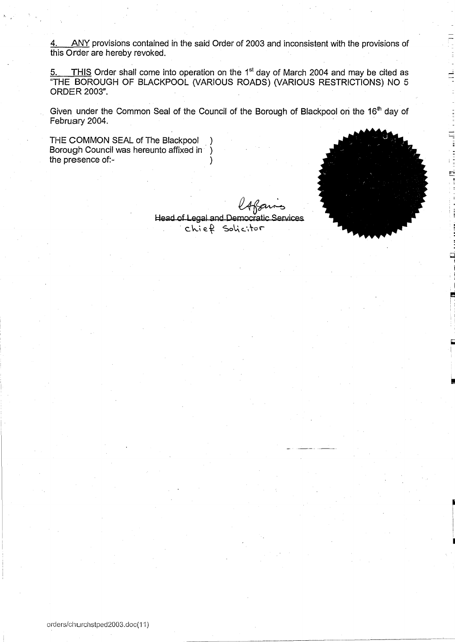4. ANY provisions contained in the said Order of 2003 and inconsistent with the provisions of this Order are hereby revoked.

5. THIS Order shall come into operation on the 1<sup>st</sup> day of March 2004 and may be cited as "THE BOROUGH OF BLACKPOOL (VARIOUS ROADS) (VARIOUS RESTRICTIONS) NO 5 ORDER 2003".

Given under the Common Seal of the Council of the Borough of Blackpool on the 16<sup>th</sup> day of February 2004.

THE COMMON SEAL of The Blackpool Borough Council was hereunto affixed in ) the presence of:-

i *m*

Head of Legal and Democ tic Services chief Solicitor